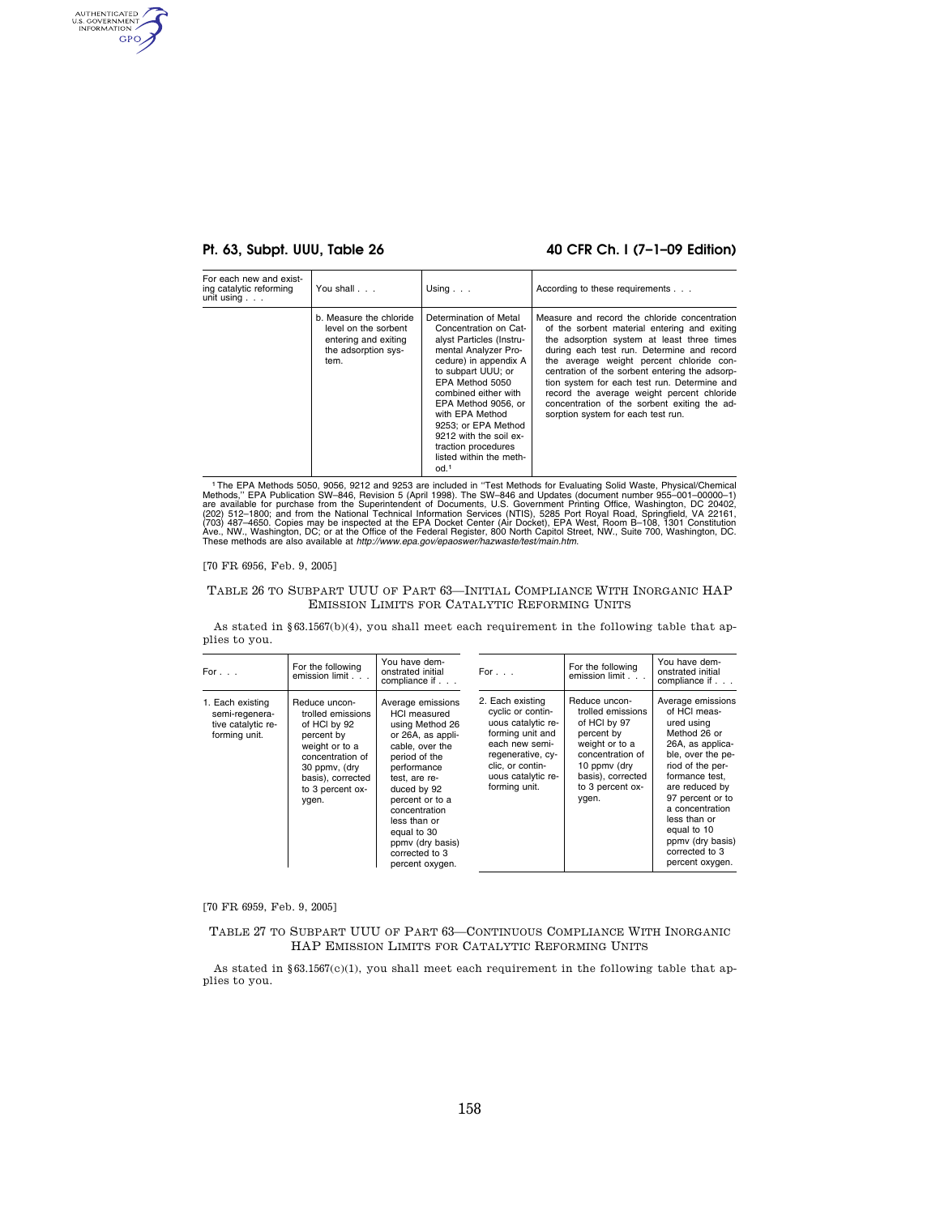AUTHENTICATED GPO

## **Pt. 63, Subpt. UUU, Table 26 40 CFR Ch. I (7–1–09 Edition)**

| For each new and exist-<br>ing catalytic reforming<br>unit using $\ldots$ | You shall                                                                                              | Using $\ldots$                                                                                                                                                                                                                                                                                                                                                 | According to these requirements                                                                                                                                                                                                                                                                                                                                                                                                                                             |
|---------------------------------------------------------------------------|--------------------------------------------------------------------------------------------------------|----------------------------------------------------------------------------------------------------------------------------------------------------------------------------------------------------------------------------------------------------------------------------------------------------------------------------------------------------------------|-----------------------------------------------------------------------------------------------------------------------------------------------------------------------------------------------------------------------------------------------------------------------------------------------------------------------------------------------------------------------------------------------------------------------------------------------------------------------------|
|                                                                           | b. Measure the chloride<br>level on the sorbent<br>entering and exiting<br>the adsorption sys-<br>tem. | Determination of Metal<br>Concentration on Cat-<br>alyst Particles (Instru-<br>mental Analyzer Pro-<br>cedure) in appendix A<br>to subpart UUU: or<br>EPA Method 5050<br>combined either with<br>EPA Method 9056, or<br>with EPA Method<br>9253; or EPA Method<br>9212 with the soil ex-<br>traction procedures<br>listed within the meth-<br>od. <sup>1</sup> | Measure and record the chloride concentration<br>of the sorbent material entering and exiting<br>the adsorption system at least three times<br>during each test run. Determine and record<br>the average weight percent chloride con-<br>centration of the sorbent entering the adsorp-<br>tion system for each test run. Determine and<br>record the average weight percent chloride<br>concentration of the sorbent exiting the ad-<br>sorption system for each test run. |

<sup>1</sup>The EPA Methods 5050, 9056, 9212 and 9253 are included in "Test Methods for Evaluating Solid Waste, Physical/Chemical<br>Methods," EPA Publication SW-846, Revision 5 (April 1998). The SW-846 and Updates (document number 95

### [70 FR 6956, Feb. 9, 2005]

### TABLE 26 TO SUBPART UUU OF PART 63—INITIAL COMPLIANCE WITH INORGANIC HAP EMISSION LIMITS FOR CATALYTIC REFORMING UNITS

As stated in §63.1567(b)(4), you shall meet each requirement in the following table that applies to you.

| For $\ldots$                                                              | For the following<br>emission limit                                                                                                                                       | You have dem-<br>onstrated initial<br>compliance if                                                                                                                                                                                                                                             | For $\ldots$                                                                                                                                                                      | For the following<br>emission limit                                                                                                                                      | You have dem-<br>onstrated initial<br>compliance if                                                                                                                                                                                                                                             |
|---------------------------------------------------------------------------|---------------------------------------------------------------------------------------------------------------------------------------------------------------------------|-------------------------------------------------------------------------------------------------------------------------------------------------------------------------------------------------------------------------------------------------------------------------------------------------|-----------------------------------------------------------------------------------------------------------------------------------------------------------------------------------|--------------------------------------------------------------------------------------------------------------------------------------------------------------------------|-------------------------------------------------------------------------------------------------------------------------------------------------------------------------------------------------------------------------------------------------------------------------------------------------|
| 1. Each existing<br>semi-regenera-<br>tive catalytic re-<br>forming unit. | Reduce uncon-<br>trolled emissions<br>of HCI by 92<br>percent by<br>weight or to a<br>concentration of<br>30 ppmv, (dry<br>basis), corrected<br>to 3 percent ox-<br>ygen. | Average emissions<br><b>HCI</b> measured<br>using Method 26<br>or 26A, as appli-<br>cable, over the<br>period of the<br>performance<br>test, are re-<br>duced by 92<br>percent or to a<br>concentration<br>less than or<br>equal to 30<br>ppmy (dry basis)<br>corrected to 3<br>percent oxygen. | 2. Each existing<br>cyclic or contin-<br>uous catalytic re-<br>forming unit and<br>each new semi-<br>regenerative, cy-<br>clic. or contin-<br>uous catalytic re-<br>forming unit. | Reduce uncon-<br>trolled emissions<br>of HCI by 97<br>percent by<br>weight or to a<br>concentration of<br>10 ppmy (dry<br>basis), corrected<br>to 3 percent ox-<br>ygen. | Average emissions<br>of HCI meas-<br>ured using<br>Method 26 or<br>26A, as applica-<br>ble, over the pe-<br>riod of the per-<br>formance test.<br>are reduced by<br>97 percent or to<br>a concentration<br>less than or<br>equal to 10<br>ppmy (dry basis)<br>corrected to 3<br>percent oxygen. |

[70 FR 6959, Feb. 9, 2005]

TABLE 27 TO SUBPART UUU OF PART 63—CONTINUOUS COMPLIANCE WITH INORGANIC HAP EMISSION LIMITS FOR CATALYTIC REFORMING UNITS

As stated in  $\S 63.1567(c)(1)$ , you shall meet each requirement in the following table that applies to you.